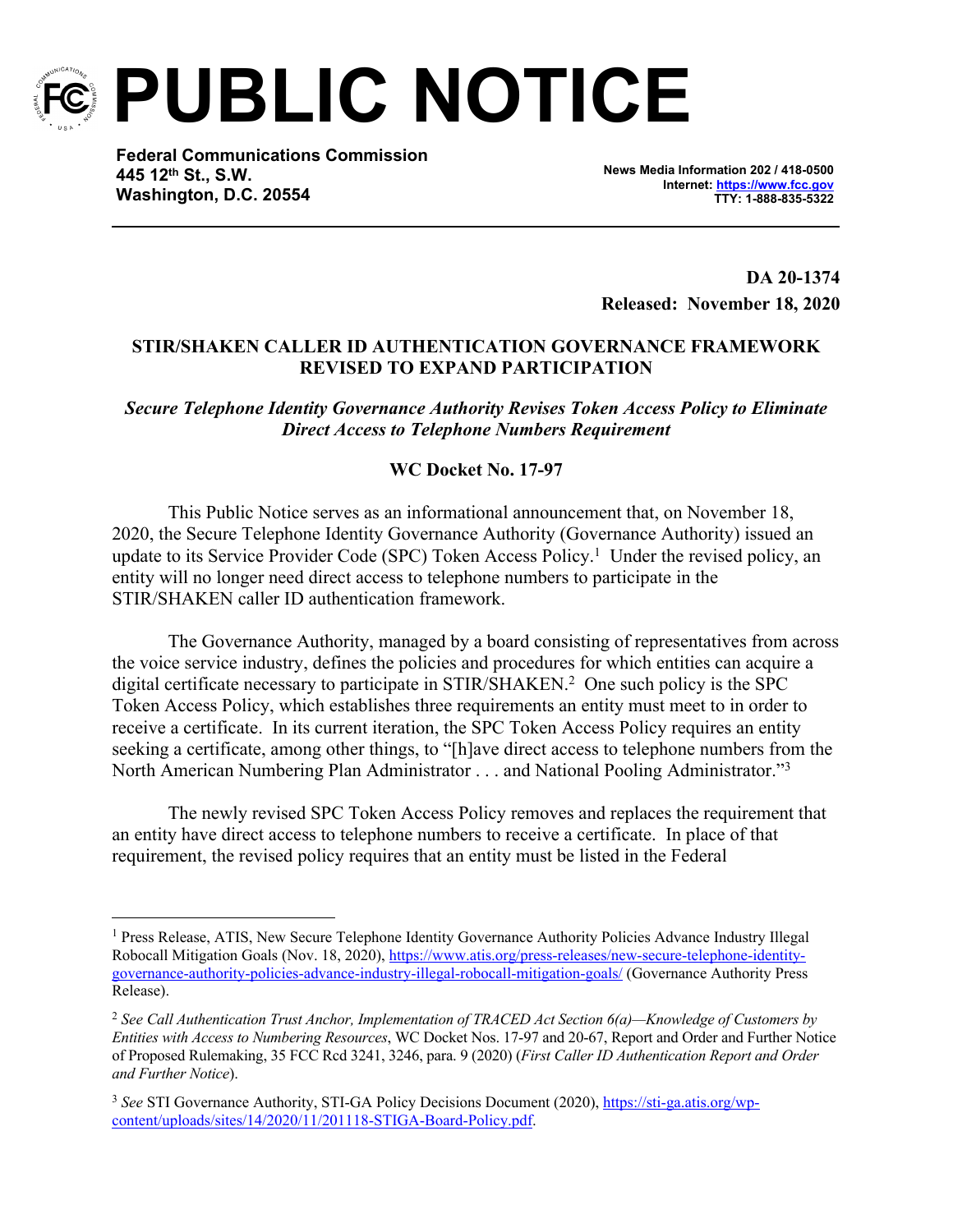

**PUBLIC NOTICE**

**Federal Communications Commission 445 12th St., S.W. Washington, D.C. 20554**

**News Media Information 202 / 418-0500 Internet:<https://www.fcc.gov> TTY: 1-888-835-5322**

**DA 20-1374 Released: November 18, 2020**

## **STIR/SHAKEN CALLER ID AUTHENTICATION GOVERNANCE FRAMEWORK REVISED TO EXPAND PARTICIPATION**

*Secure Telephone Identity Governance Authority Revises Token Access Policy to Eliminate Direct Access to Telephone Numbers Requirement*

## **WC Docket No. 17-97**

This Public Notice serves as an informational announcement that, on November 18, 2020, the Secure Telephone Identity Governance Authority (Governance Authority) issued an update to its Service Provider Code (SPC) Token Access Policy.<sup>1</sup> Under the revised policy, an entity will no longer need direct access to telephone numbers to participate in the STIR/SHAKEN caller ID authentication framework.

The Governance Authority, managed by a board consisting of representatives from across the voice service industry, defines the policies and procedures for which entities can acquire a digital certificate necessary to participate in STIR/SHAKEN.<sup>2</sup> One such policy is the SPC Token Access Policy, which establishes three requirements an entity must meet to in order to receive a certificate. In its current iteration, the SPC Token Access Policy requires an entity seeking a certificate, among other things, to "[h]ave direct access to telephone numbers from the North American Numbering Plan Administrator . . . and National Pooling Administrator."<sup>3</sup>

The newly revised SPC Token Access Policy removes and replaces the requirement that an entity have direct access to telephone numbers to receive a certificate. In place of that requirement, the revised policy requires that an entity must be listed in the Federal

<sup>&</sup>lt;sup>1</sup> Press Release, ATIS, New Secure Telephone Identity Governance Authority Policies Advance Industry Illegal Robocall Mitigation Goals (Nov. 18, 2020), [https://www.atis.org/press-releases/new-secure-telephone-identity](https://www.atis.org/press-releases/new-secure-telephone-identity-governance-authority-policies-advance-industry-illegal-robocall-mitigation-goals/)[governance-authority-policies-advance-industry-illegal-robocall-mitigation-goals/](https://www.atis.org/press-releases/new-secure-telephone-identity-governance-authority-policies-advance-industry-illegal-robocall-mitigation-goals/) (Governance Authority Press Release).

<sup>2</sup> *See Call Authentication Trust Anchor, Implementation of TRACED Act Section 6(a)—Knowledge of Customers by Entities with Access to Numbering Resources*, WC Docket Nos. 17-97 and 20-67, Report and Order and Further Notice of Proposed Rulemaking, 35 FCC Rcd 3241, 3246, para. 9 (2020) (*First Caller ID Authentication Report and Order and Further Notice*).

<sup>3</sup> *See* STI Governance Authority, STI-GA Policy Decisions Document (2020), [https://sti-ga.atis.org/wp](https://sti-ga.atis.org/wp-content/uploads/sites/14/2020/11/201118-STIGA-Board-Policy.pdf)[content/uploads/sites/14/2020/11/201118-STIGA-Board-Policy.pdf](https://sti-ga.atis.org/wp-content/uploads/sites/14/2020/11/201118-STIGA-Board-Policy.pdf).